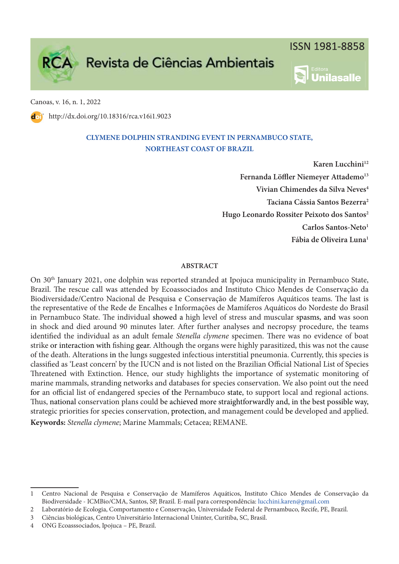

Inilasalle



Canoas, v. 16, n. 1, 2022

http://dx.doi.org/10.18316/rca.v16i1.9023

# **CLYMENE DOLPHIN STRANDING EVENT IN PERNAMBUCO STATE, NORTHEAST COAST OF BRAZIL**

**Karen Lucchini<sup>12</sup>** Fernanda Löffler Niemeyer Attademo<sup>13</sup> **Vivian Chimendes da Silva Neves<sup>4</sup> Taciana Cássia Santos Bezerra<sup>2</sup> Hugo Leonardo Rossiter Peixoto dos Santos<sup>2</sup> Carlos Santos-Neto<sup>1</sup> Fábia de Oliveira Luna<sup>1</sup>**

## **ABSTRACT**

On 30<sup>th</sup> January 2021, one dolphin was reported stranded at Ipojuca municipality in Pernambuco State, Brazil. The rescue call was attended by Ecoassociados and Instituto Chico Mendes de Conservação da Biodiversidade/Centro Nacional de Pesquisa e Conservação de Mamíferos Aquáticos teams. The last is the representative of the Rede de Encalhes e Informações de Mamíferos Aquáticos do Nordeste do Brasil in Pernambuco State. The individual showed a high level of stress and muscular spasms, and was soon in shock and died around 90 minutes later. After further analyses and necropsy procedure, the teams identified the individual as an adult female Stenella clymene specimen. There was no evidence of boat strike or interaction with fishing gear. Although the organs were highly parasitized, this was not the cause of the death. Alterations in the lungs suggested infectious interstitial pneumonia. Currently, this species is classified as 'Least concern' by the IUCN and is not listed on the Brazilian Official National List of Species Threatened with Extinction. Hence, our study highlights the importance of systematic monitoring of marine mammals, stranding networks and databases for species conservation. We also point out the need for an official list of endangered species of the Pernambuco state, to support local and regional actions. Thus, national conservation plans could be achieved more straightforwardly and, in the best possible way, strategic priorities for species conservation, protection, and management could be developed and applied. **Keywords:** Stenella clymene; Marine Mammals; Cetacea; REMANE.

<sup>1</sup> Centro Nacional de Pesquisa e Conservação de Mamíferos Aquáticos, Instituto Chico Mendes de Conservação da Biodiversidade - ICMBio/CMA, Santos, SP, Brazil. E-mail para correspondência: lucchini.karen@gmail.com

<sup>2</sup> Laboratório de Ecologia, Comportamento e Conservação, Universidade Federal de Pernambuco, Recife, PE, Brazil.

<sup>3</sup> Ciências biológicas, Centro Universitário Internacional Uninter, Curitiba, SC, Brasil.

<sup>4</sup> ONG Ecoasssociados, Ipojuca – PE, Brazil.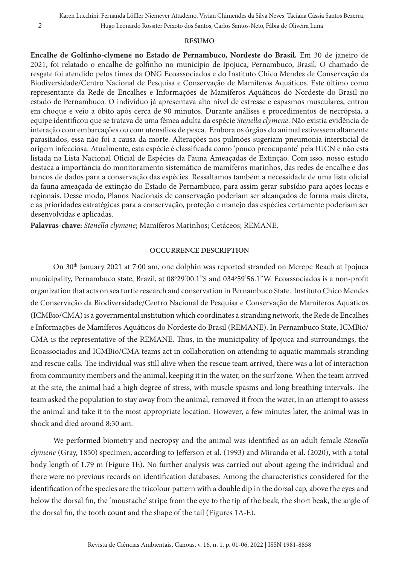### **RESUMO**

Encalhe de Golfinho-clymene no Estado de Pernambuco, Nordeste do Brasil. Em 30 de janeiro de 2021, foi relatado o encalhe de golfinho no município de Ipojuca, Pernambuco, Brasil. O chamado de resgate foi atendido pelos times da ONG Ecoassociados e do Instituto Chico Mendes de Conservação da Biodiversidade/Centro Nacional de Pesquisa e Conservação de Mamíferos Aquáticos. Este último como representante da Rede de Encalhes e Informações de Mamíferos Aquáticos do Nordeste do Brasil no estado de Pernambuco. O indivíduo já apresentava alto nível de estresse e espasmos musculares, entrou em choque e veio a óbito após cerca de 90 minutos. Durante análises e procedimentos de necrópsia, a equipe identificou que se tratava de uma fêmea adulta da espécie Stenella clymene. Não existia evidência de interação com embarcações ou com utensílios de pesca. Embora os órgãos do animal estivessem altamente parasitados, essa não foi a causa da morte. Alterações nos pulmões sugeriam pneumonia intersticial de origem infecciosa. Atualmente, esta espécie é classificada como 'pouco preocupante' pela IUCN e não está listada na Lista Nacional Oficial de Espécies da Fauna Ameaçadas de Extinção. Com isso, nosso estudo destaca a importância do monitoramento sistemático de mamíferos marinhos, das redes de encalhe e dos bancos de dados para a conservação das espécies. Ressaltamos também a necessidade de uma lista oficial da fauna ameaçada de extinção do Estado de Pernambuco, para assim gerar subsídio para ações locais e regionais. Desse modo, Planos Nacionais de conservação poderiam ser alcançados de forma mais direta, e as prioridades estratégicas para a conservação, proteção e manejo das espécies certamente poderiam ser desenvolvidas e aplicadas.

**Palavras-chave:** Stenella clymene; Mamíferos Marinhos; Cetáceos; REMANE.

#### **OCCURRENCE DESCRIPTION**

On 30th January 2021 at 7:00 am, one dolphin was reported stranded on Merepe Beach at Ipojuca municipality, Pernambuco state, Brazil, at 08°29'00.1"S and 034°59'56.1"W. Ecoassociados is a non-profit organization that acts on sea turtle research and conservation in Pernambuco State. Instituto Chico Mendes de Conservação da Biodiversidade/Centro Nacional de Pesquisa e Conservação de Mamíferos Aquáticos (ICMBio/CMA) is a governmental institution which coordinates a stranding network, the Rede de Encalhes e Informações de Mamíferos Aquáticos do Nordeste do Brasil (REMANE). In Pernambuco State, ICMBio/ CMA is the representative of the REMANE. Thus, in the municipality of Ipojuca and surroundings, the Ecoassociados and ICMBio/CMA teams act in collaboration on attending to aquatic mammals stranding and rescue calls. The individual was still alive when the rescue team arrived, there was a lot of interaction from community members and the animal, keeping it in the water, on the surf zone. When the team arrived at the site, the animal had a high degree of stress, with muscle spasms and long breathing intervals. The team asked the population to stay away from the animal, removed it from the water, in an attempt to assess the animal and take it to the most appropriate location. However, a few minutes later, the animal was in shock and died around 8:30 am.

We performed biometry and necropsy and the animal was identified as an adult female Stenella clymene (Gray, 1850) specimen, according to Jefferson et al. (1993) and Miranda et al. (2020), with a total body length of 1.79 m (Figure 1E). No further analysis was carried out about ageing the individual and there were no previous records on identification databases. Among the characteristics considered for the identification of the species are the tricolour pattern with a double dip in the dorsal cap, above the eyes and below the dorsal fin, the 'moustache' stripe from the eye to the tip of the beak, the short beak, the angle of the dorsal fin, the tooth count and the shape of the tail (Figures 1A-E).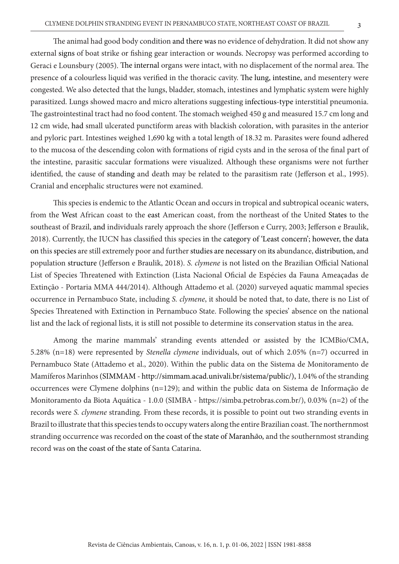The animal had good body condition and there was no evidence of dehydration. It did not show any external signs of boat strike or fishing gear interaction or wounds. Necropsy was performed according to Geraci e Lounsbury (2005). The internal organs were intact, with no displacement of the normal area. The presence of a colourless liquid was verified in the thoracic cavity. The lung, intestine, and mesentery were congested. We also detected that the lungs, bladder, stomach, intestines and lymphatic system were highly parasitized. Lungs showed macro and micro alterations suggesting infectious-type interstitial pneumonia. The gastrointestinal tract had no food content. The stomach weighed 450 g and measured 15.7 cm long and 12 cm wide, had small ulcerated punctiform areas with blackish coloration, with parasites in the anterior and pyloric part. Intestines weighed 1,690 kg with a total length of 18.32 m. Parasites were found adhered to the mucosa of the descending colon with formations of rigid cysts and in the serosa of the final part of the intestine, parasitic saccular formations were visualized. Although these organisms were not further identified, the cause of standing and death may be related to the parasitism rate (Jefferson et al., 1995). Cranial and encephalic structures were not examined.

This species is endemic to the Atlantic Ocean and occurs in tropical and subtropical oceanic waters, from the West African coast to the east American coast, from the northeast of the United States to the southeast of Brazil, and individuals rarely approach the shore (Jefferson e Curry, 2003; Jefferson e Braulik, 2018). Currently, the IUCN has classified this species in the category of 'Least concern'; however, the data on this species are still extremely poor and further studies are necessary on its abundance, distribution, and population structure (Jefferson e Braulik, 2018). S. clymene is not listed on the Brazilian Official National List of Species Threatened with Extinction (Lista Nacional Oficial de Espécies da Fauna Ameaçadas de Extinção - Portaria MMA 444/2014). Although Attademo et al. (2020) surveyed aquatic mammal species occurrence in Pernambuco State, including S. *clymene*, it should be noted that, to date, there is no List of Species Threatened with Extinction in Pernambuco State. Following the species' absence on the national list and the lack of regional lists, it is still not possible to determine its conservation status in the area.

Among the marine mammals' stranding events attended or assisted by the ICMBio/CMA, 5.28% (n=18) were represented by Stenella clymene individuals, out of which 2.05% (n=7) occurred in Pernambuco State (Attademo et al., 2020). Within the public data on the Sistema de Monitoramento de Mamíferos Marinhos (SIMMAM - http://simmam.acad.univali.br/sistema/public/), 1.04% of the stranding occurrences were Clymene dolphins (n=129); and within the public data on Sistema de Informação de Monitoramento da Biota Aquática - 1.0.0 (SIMBA - https://simba.petrobras.com.br/), 0.03% (n=2) of the records were S. *clymene* stranding. From these records, it is possible to point out two stranding events in Brazil to illustrate that this species tends to occupy waters along the entire Brazilian coast. The northernmost stranding occurrence was recorded on the coast of the state of Maranhão, and the southernmost stranding record was on the coast of the state of Santa Catarina.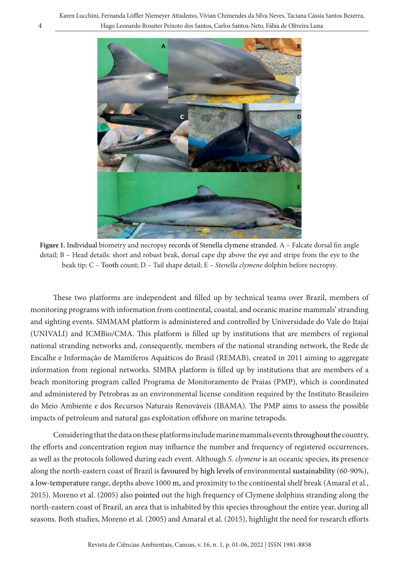Karen Lucchini, Fernanda Löffler Niemeyer Attademo, Vivian Chimendes da Silva Neves, Taciana Cássia Santos Bezerra, 4 Hugo Leonardo Rossiter Peixoto dos Santos, Carlos Santos-Neto, Fábia de Oliveira Luna



Figure 1. Individual biometry and necropsy records of Stenella clymene stranded. A - Falcate dorsal fin angle detail; B – Head details: short and robust beak, dorsal cape dip above the eye and stripe from the eye to the beak tip; C - Tooth count; D - Tail shape detail; E - Stenella clymene dolphin before necropsy.

These two platforms are independent and filled up by technical teams over Brazil, members of monitoring programs with information from continental, coastal, and oceanic marine mammals' stranding and sighting events. SIMMAM platform is administered and controlled by Universidade do Vale do Itajaí (UNIVALI) and ICMBio/CMA. This platform is filled up by institutions that are members of regional national stranding networks and, consequently, members of the national stranding network, the Rede de Encalhe e Informação de Mamíferos Aquáticos do Brasil (REMAB), created in 2011 aiming to aggregate information from regional networks. SIMBA platform is filled up by institutions that are members of a beach monitoring program called Programa de Monitoramento de Praias (PMP), which is coordinated and administered by Petrobras as an environmental license condition required by the Instituto Brasileiro do Meio Ambiente e dos Recursos Naturais Renováveis (IBAMA). The PMP aims to assess the possible impacts of petroleum and natural gas exploitation offshore on marine tetrapods.

Considering that the data on these platforms include marine mammals events throughoutthe country, the efforts and concentration region may influence the number and frequency of registered occurrences, as well as the protocols followed during each event. Although S. *clymene* is an oceanic species, its presence along the north-eastern coast of Brazil is favoured by high levels of environmental sustainability (60-90%), a low-temperature range, depths above 1000 m, and proximity to the continental shelf break (Amaral et al., 2015). Moreno et al. (2005) also pointed out the high frequency of Clymene dolphins stranding along the north-eastern coast of Brazil, an area that is inhabited by this species throughout the entire year, during all seasons. Both studies, Moreno et al. (2005) and Amaral et al. (2015), highlight the need for research efforts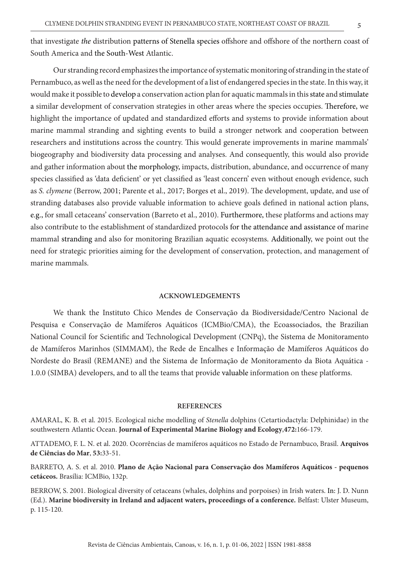that investigate the distribution patterns of Stenella species offshore and offshore of the northern coast of South America and the South-West Atlantic.

Our stranding record emphasizes the importance of systematic monitoring of stranding in the state of Pernambuco, as well as the need for the development of a list of endangered species in the state. In this way, it would make it possible to develop a conservation action plan for aquatic mammals in this state and stimulate a similar development of conservation strategies in other areas where the species occupies. Therefore, we highlight the importance of updated and standardized efforts and systems to provide information about marine mammal stranding and sighting events to build a stronger network and cooperation between researchers and institutions across the country. This would generate improvements in marine mammals' biogeography and biodiversity data processing and analyses. And consequently, this would also provide and gather information about the morphology, impacts, distribution, abundance, and occurrence of many species classified as 'data deficient' or yet classified as 'least concern' even without enough evidence, such as S. clymene (Berrow, 2001; Parente et al., 2017; Borges et al., 2019). The development, update, and use of stranding databases also provide valuable information to achieve goals defined in national action plans, e.g., for small cetaceans' conservation (Barreto et al., 2010). Furthermore, these platforms and actions may also contribute to the establishment of standardized protocols for the attendance and assistance of marine mammal stranding and also for monitoring Brazilian aquatic ecosystems. Additionally, we point out the need for strategic priorities aiming for the development of conservation, protection, and management of marine mammals.

#### **ACKNOWLEDGEMENTS**

We thank the Instituto Chico Mendes de Conservação da Biodiversidade/Centro Nacional de Pesquisa e Conservação de Mamíferos Aquáticos (ICMBio/CMA), the Ecoassociados, the Brazilian National Council for Scientific and Technological Development (CNPq), the Sistema de Monitoramento de Mamíferos Marinhos (SIMMAM), the Rede de Encalhes e Informação de Mamíferos Aquáticos do Nordeste do Brasil (REMANE) and the Sistema de Informação de Monitoramento da Biota Aquática - 1.0.0 (SIMBA) developers, and to all the teams that provide valuable information on these platforms.

#### **REFERENCES**

AMARAL, K. B. et al. 2015. Ecological niche modelling of Stenella dolphins (Cetartiodactyla: Delphinidae) in the southwestern Atlantic Ocean. **Journal of Experimental Marine Biology and Ecology**,**472:**166-179.

ATTADEMO, F. L. N. et al. 2020. Ocorrências de mamíferos aquáticos no Estado de Pernambuco, Brasil. **Arquivos de Ciências do Mar**, **53:**33-51.

BARRETO, A. S. et al. 2010. **Plano de Ação Nacional para Conservação dos Mamíferos Aquáticos - pequenos cetáceos.** Brasília: ICMBio, 132p.

BERROW, S. 2001. Biological diversity of cetaceans (whales, dolphins and porpoises) in Irish waters. In: J. D. Nunn (Ed.). **Marine biodiversity in Ireland and adjacent waters, proceedings of a conference.** Belfast: Ulster Museum, p. 115-120.